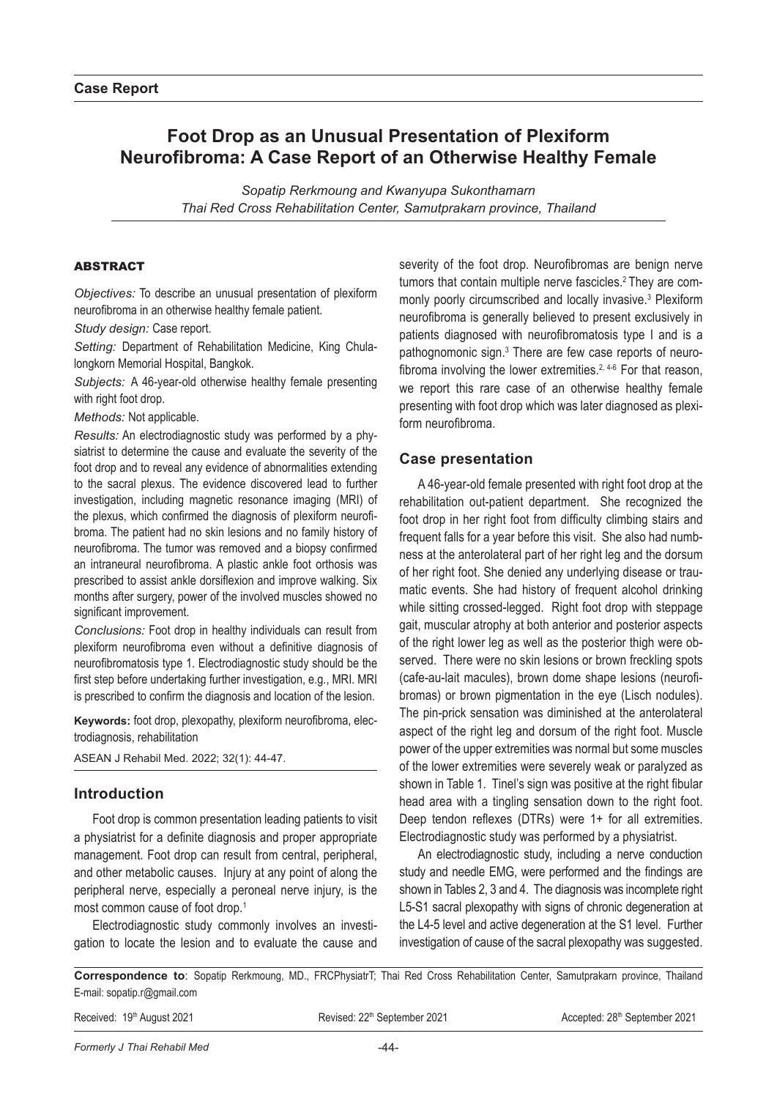# **Foot Drop as an Unusual Presentation of Plexiform Neurofibroma: A Case Report of an Otherwise Healthy Female**

*Sopatip Rerkmoung and Kwanyupa Sukonthamarn Thai Red Cross Rehabilitation Center, Samutprakarn province, Thailand*

# **ARSTRACT**

*Objectives:* To describe an unusual presentation of plexiform neurofibroma in an otherwise healthy female patient.

*Study design:* Case report.

*Setting:* Department of Rehabilitation Medicine, King Chulalongkorn Memorial Hospital, Bangkok.

*Subjects:* A 46-year-old otherwise healthy female presenting with right foot drop.

*Methods:* Not applicable.

*Results:* An electrodiagnostic study was performed by a physiatrist to determine the cause and evaluate the severity of the foot drop and to reveal any evidence of abnormalities extending to the sacral plexus. The evidence discovered lead to further investigation, including magnetic resonance imaging (MRI) of the plexus, which confirmed the diagnosis of plexiform neurofibroma. The patient had no skin lesions and no family history of neurofibroma. The tumor was removed and a biopsy confirmed an intraneural neurofibroma. A plastic ankle foot orthosis was prescribed to assist ankle dorsiflexion and improve walking. Six months after surgery, power of the involved muscles showed no significant improvement.

*Conclusions:* Foot drop in healthy individuals can result from plexiform neurofibroma even without a definitive diagnosis of neurofibromatosis type 1. Electrodiagnostic study should be the first step before undertaking further investigation, e.g., MRI. MRI is prescribed to confirm the diagnosis and location of the lesion.

**Keywords:** foot drop, plexopathy, plexiform neurofibroma, electrodiagnosis, rehabilitation

ASEAN J Rehabil Med. 2022; 32(1): 44-47.

# **Introduction**

Foot drop is common presentation leading patients to visit a physiatrist for a definite diagnosis and proper appropriate management. Foot drop can result from central, peripheral, and other metabolic causes. Injury at any point of along the peripheral nerve, especially a peroneal nerve injury, is the most common cause of foot drop.<sup>1</sup>

Electrodiagnostic study commonly involves an investigation to locate the lesion and to evaluate the cause and severity of the foot drop. Neurofibromas are benign nerve tumors that contain multiple nerve fascicles.<sup>2</sup> They are commonly poorly circumscribed and locally invasive.<sup>3</sup> Plexiform neurofibroma is generally believed to present exclusively in patients diagnosed with neurofibromatosis type I and is a pathognomonic sign.<sup>3</sup> There are few case reports of neurofibroma involving the lower extremities.<sup>2, 4-6</sup> For that reason, we report this rare case of an otherwise healthy female presenting with foot drop which was later diagnosed as plexiform neurofibroma.

### **Case presentation**

A 46-year-old female presented with right foot drop at the rehabilitation out-patient department. She recognized the foot drop in her right foot from difficulty climbing stairs and frequent falls for a year before this visit. She also had numbness at the anterolateral part of her right leg and the dorsum of her right foot. She denied any underlying disease or traumatic events. She had history of frequent alcohol drinking while sitting crossed-legged. Right foot drop with steppage gait, muscular atrophy at both anterior and posterior aspects of the right lower leg as well as the posterior thigh were observed. There were no skin lesions or brown freckling spots (cafe-au-lait macules), brown dome shape lesions (neurofibromas) or brown pigmentation in the eye (Lisch nodules). The pin-prick sensation was diminished at the anterolateral aspect of the right leg and dorsum of the right foot. Muscle power of the upper extremities was normal but some muscles of the lower extremities were severely weak or paralyzed as shown in Table 1. Tinel's sign was positive at the right fibular head area with a tingling sensation down to the right foot. Deep tendon reflexes (DTRs) were 1+ for all extremities. Electrodiagnostic study was performed by a physiatrist.

An electrodiagnostic study, including a nerve conduction study and needle EMG, were performed and the findings are shown in Tables 2, 3 and 4. The diagnosis was incomplete right L5-S1 sacral plexopathy with signs of chronic degeneration at the L4-5 level and active degeneration at the S1 level. Further investigation of cause of the sacral plexopathy was suggested.

**Correspondence to**: Sopatip Rerkmoung, MD., FRCPhysiatrT; Thai Red Cross Rehabilitation Center, Samutprakarn province, Thailand E-mail: sopatip.r@gmail.com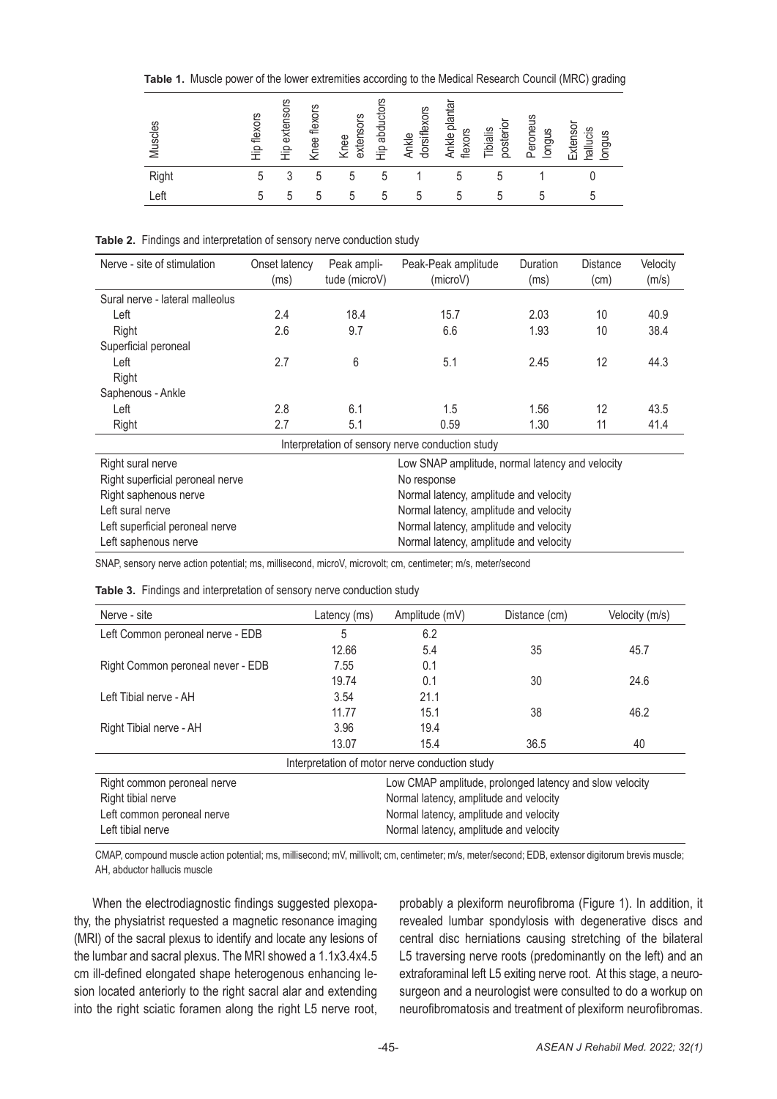**Table 1.** Muscle power of the lower extremities according to the Medical Research Council (MRC) grading

| Muscles | Hip flexors | Hip extensors | Knee flexors | extensors<br>Knee | Hip abductors | dorsiflexors<br>Ankle | Ankle plantar<br>flexors | posterior<br>Tibialis | Peroneus<br>longus | Extensor<br>hallucis<br>longus |
|---------|-------------|---------------|--------------|-------------------|---------------|-----------------------|--------------------------|-----------------------|--------------------|--------------------------------|
| Right   | 5           | ্<br>J        | 5            | 5                 | 5             |                       | 5                        | 5                     |                    |                                |
| _eft    | 5           | 5             | 5            | 5                 | 5             | 5                     | 5                        | 5                     |                    |                                |

**Table 2.** Findings and interpretation of sensory nerve conduction study

| Nerve - site of stimulation                      | Onset latency<br>(ms) | Peak ampli-<br>tude (microV) | Peak-Peak amplitude<br>(microV) | Duration<br>(ms) | <b>Distance</b><br>(cm) | Velocity<br>(m/s) |  |
|--------------------------------------------------|-----------------------|------------------------------|---------------------------------|------------------|-------------------------|-------------------|--|
| Sural nerve - lateral malleolus                  |                       |                              |                                 |                  |                         |                   |  |
| Left                                             | 2.4                   | 18.4                         | 15.7                            | 2.03             | 10                      | 40.9              |  |
| Right                                            | 2.6                   | 9.7                          | 6.6                             | 1.93             | 10                      | 38.4              |  |
| Superficial peroneal                             |                       |                              |                                 |                  |                         |                   |  |
| Left                                             | 2.7                   | 6                            | 5.1                             | 2.45             | 12                      | 44.3              |  |
| Right                                            |                       |                              |                                 |                  |                         |                   |  |
| Saphenous - Ankle                                |                       |                              |                                 |                  |                         |                   |  |
| Left                                             | 2.8                   | 6.1                          | 1.5                             | 1.56             | 12                      | 43.5              |  |
| Right                                            | 2.7                   | 5.1                          | 0.59                            | 1.30             | 11                      | 41.4              |  |
| Interpretation of sensory nerve conduction study |                       |                              |                                 |                  |                         |                   |  |

| Right sural nerve                | Low SNAP amplitude, normal latency and velocity |
|----------------------------------|-------------------------------------------------|
| Right superficial peroneal nerve | No response                                     |
| Right saphenous nerve            | Normal latency, amplitude and velocity          |
| Left sural nerve                 | Normal latency, amplitude and velocity          |
| Left superficial peroneal nerve  | Normal latency, amplitude and velocity          |
| Left saphenous nerve             | Normal latency, amplitude and velocity          |

SNAP, sensory nerve action potential; ms, millisecond, microV, microvolt; cm, centimeter; m/s, meter/second

| Nerve - site                                                                           | Latency (ms)                           | Amplitude (mV)                         | Distance (cm) | Velocity (m/s) |  |  |  |  |
|----------------------------------------------------------------------------------------|----------------------------------------|----------------------------------------|---------------|----------------|--|--|--|--|
| Left Common peroneal nerve - EDB                                                       | 5                                      | 6.2                                    |               |                |  |  |  |  |
|                                                                                        | 12.66                                  | 5.4                                    | 35            | 45.7           |  |  |  |  |
| Right Common peroneal never - EDB                                                      | 7.55                                   | 0.1                                    |               |                |  |  |  |  |
|                                                                                        | 19.74                                  | 0.1                                    | 30            | 24.6           |  |  |  |  |
| Left Tibial nerve - AH                                                                 | 3.54                                   | 21.1                                   |               |                |  |  |  |  |
|                                                                                        | 11.77                                  | 15.1                                   | 38            | 46.2           |  |  |  |  |
| Right Tibial nerve - AH                                                                | 3.96                                   | 19.4                                   |               |                |  |  |  |  |
|                                                                                        | 13.07                                  | 15.4                                   | 36.5          | 40             |  |  |  |  |
| Interpretation of motor nerve conduction study                                         |                                        |                                        |               |                |  |  |  |  |
| Low CMAP amplitude, prolonged latency and slow velocity<br>Right common peroneal nerve |                                        |                                        |               |                |  |  |  |  |
| Right tibial nerve                                                                     | Normal latency, amplitude and velocity |                                        |               |                |  |  |  |  |
| Left common peroneal nerve                                                             |                                        | Normal latency, amplitude and velocity |               |                |  |  |  |  |
| Left tibial nerve                                                                      | Normal latency, amplitude and velocity |                                        |               |                |  |  |  |  |

CMAP, compound muscle action potential; ms, millisecond; mV, millivolt; cm, centimeter; m/s, meter/second; EDB, extensor digitorum brevis muscle; AH, abductor hallucis muscle

When the electrodiagnostic findings suggested plexopathy, the physiatrist requested a magnetic resonance imaging (MRI) of the sacral plexus to identify and locate any lesions of the lumbar and sacral plexus. The MRI showed a 1.1x3.4x4.5 cm ill-defined elongated shape heterogenous enhancing lesion located anteriorly to the right sacral alar and extending into the right sciatic foramen along the right L5 nerve root,

probably a plexiform neurofibroma (Figure 1). In addition, it revealed lumbar spondylosis with degenerative discs and central disc herniations causing stretching of the bilateral L5 traversing nerve roots (predominantly on the left) and an extraforaminal left L5 exiting nerve root. At this stage, a neurosurgeon and a neurologist were consulted to do a workup on neurofibromatosis and treatment of plexiform neurofibromas.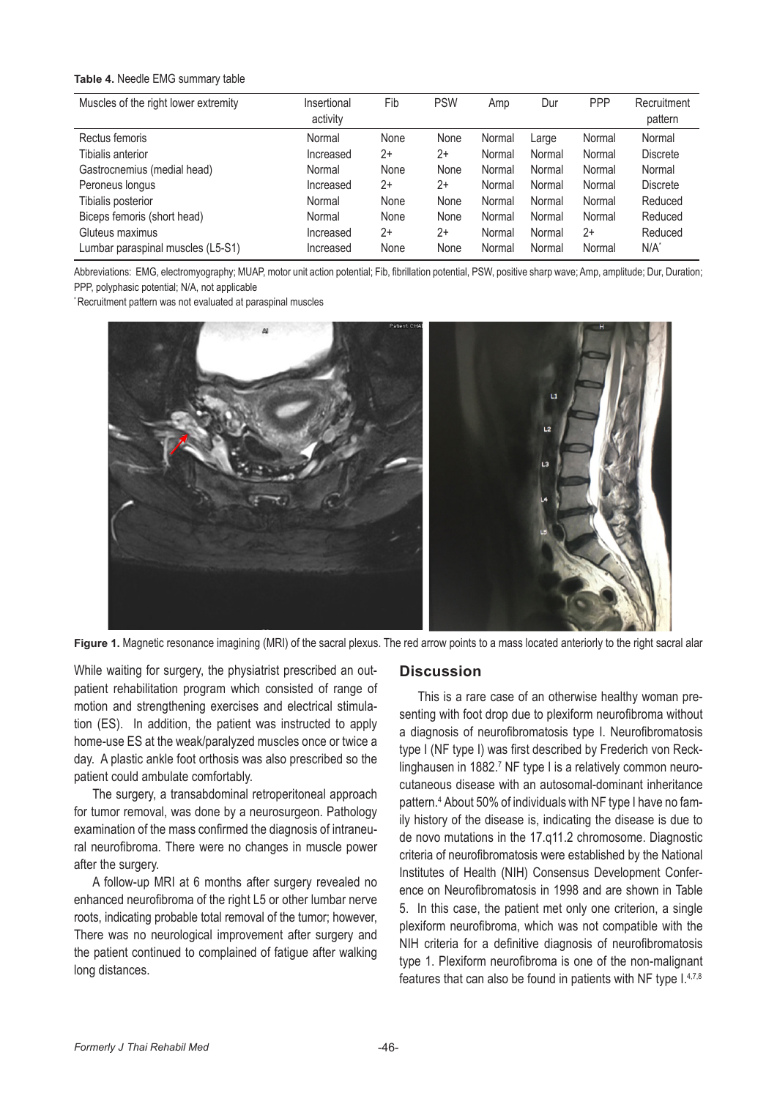#### **Table 4.** Needle EMG summary table

| Muscles of the right lower extremity | Insertional<br>activity | Fib  | <b>PSW</b> | Amp    | Dur    | <b>PPP</b> | Recruitment<br>pattern |
|--------------------------------------|-------------------------|------|------------|--------|--------|------------|------------------------|
| Rectus femoris                       | Normal                  | None | None       | Normal | Large  | Normal     | Normal                 |
| Tibialis anterior                    | Increased               | 2+   | $2+$       | Normal | Normal | Normal     | <b>Discrete</b>        |
| Gastrocnemius (medial head)          | Normal                  | None | None       | Normal | Normal | Normal     | Normal                 |
| Peroneus longus                      | Increased               | 2+   | $2+$       | Normal | Normal | Normal     | <b>Discrete</b>        |
| Tibialis posterior                   | Normal                  | None | None       | Normal | Normal | Normal     | Reduced                |
| Biceps femoris (short head)          | Normal                  | None | None       | Normal | Normal | Normal     | Reduced                |
| Gluteus maximus                      | Increased               | $2+$ | $2+$       | Normal | Normal | $2+$       | Reduced                |
| Lumbar paraspinal muscles (L5-S1)    | Increased               | None | None       | Normal | Normal | Normal     | N/A                    |

Abbreviations: EMG, electromyography; MUAP, motor unit action potential; Fib, fibrillation potential, PSW, positive sharp wave; Amp, amplitude; Dur, Duration; PPP, polyphasic potential; N/A, not applicable

\* Recruitment pattern was not evaluated at paraspinal muscles



Figure 1. Magnetic resonance imagining (MRI) of the sacral plexus. The red arrow points to a mass located anteriorly to the right sacral alar

While waiting for surgery, the physiatrist prescribed an outpatient rehabilitation program which consisted of range of motion and strengthening exercises and electrical stimulation (ES). In addition, the patient was instructed to apply home-use ES at the weak/paralyzed muscles once or twice a day. A plastic ankle foot orthosis was also prescribed so the patient could ambulate comfortably.

The surgery, a transabdominal retroperitoneal approach for tumor removal, was done by a neurosurgeon. Pathology examination of the mass confirmed the diagnosis of intraneural neurofibroma. There were no changes in muscle power after the surgery.

A follow-up MRI at 6 months after surgery revealed no enhanced neurofibroma of the right L5 or other lumbar nerve roots, indicating probable total removal of the tumor; however, There was no neurological improvement after surgery and the patient continued to complained of fatigue after walking long distances.

### **Discussion**

This is a rare case of an otherwise healthy woman presenting with foot drop due to plexiform neurofibroma without a diagnosis of neurofibromatosis type I. Neurofibromatosis type I (NF type I) was first described by Frederich von Recklinghausen in 1882.<sup>7</sup> NF type I is a relatively common neurocutaneous disease with an autosomal-dominant inheritance pattern.4 About 50% of individuals with NF type I have no family history of the disease is, indicating the disease is due to de novo mutations in the 17.q11.2 chromosome. Diagnostic criteria of neurofibromatosis were established by the National Institutes of Health (NIH) Consensus Development Conference on Neurofibromatosis in 1998 and are shown in Table 5. In this case, the patient met only one criterion, a single plexiform neurofibroma, which was not compatible with the NIH criteria for a definitive diagnosis of neurofibromatosis type 1. Plexiform neurofibroma is one of the non-malignant features that can also be found in patients with NF type I.4,7,8